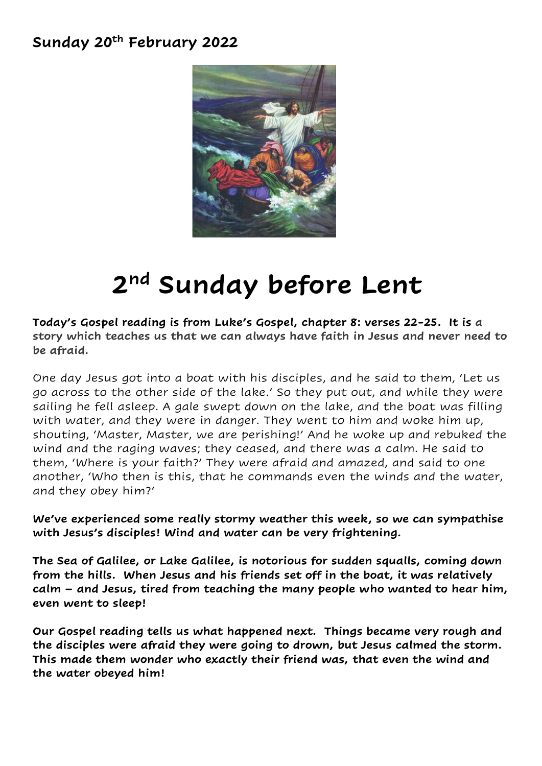## **Sunday 20th February 2022**



## **2 nd Sunday before Lent**

**Today's Gospel reading is from Luke's Gospel, chapter 8: verses 22-25. It is a story which teaches us that we can always have faith in Jesus and never need to be afraid.**

One day Jesus got into a boat with his disciples, and he said to them, 'Let us go across to the other side of the lake.' So they put out, and while they were sailing he fell asleep. A gale swept down on the lake, and the boat was filling with water, and they were in danger. They went to him and woke him up, shouting, 'Master, Master, we are perishing!' And he woke up and rebuked the wind and the raging waves; they ceased, and there was a calm. He said to them, 'Where is your faith?' They were afraid and amazed, and said to one another, 'Who then is this, that he commands even the winds and the water, and they obey him?'

**We've experienced some really stormy weather this week, so we can sympathise with Jesus's disciples! Wind and water can be very frightening.**

**The Sea of Galilee, or Lake Galilee, is notorious for sudden squalls, coming down from the hills. When Jesus and his friends set off in the boat, it was relatively calm – and Jesus, tired from teaching the many people who wanted to hear him, even went to sleep!** 

**Our Gospel reading tells us what happened next. Things became very rough and the disciples were afraid they were going to drown, but Jesus calmed the storm. This made them wonder who exactly their friend was, that even the wind and the water obeyed him!**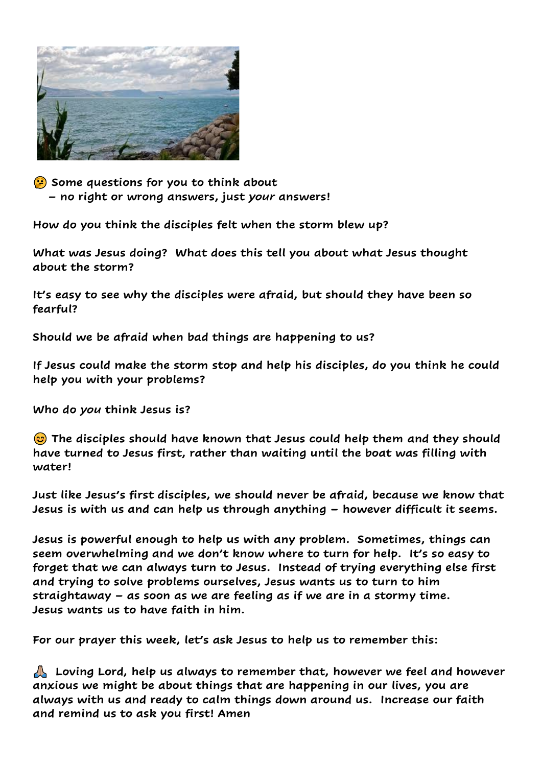

 **Some questions for you to think about – no right or wrong answers, just** *your* **answers!**

**How do you think the disciples felt when the storm blew up?**

**What was Jesus doing? What does this tell you about what Jesus thought about the storm?**

**It's easy to see why the disciples were afraid, but should they have been so fearful?** 

**Should we be afraid when bad things are happening to us?**

**If Jesus could make the storm stop and help his disciples, do you think he could help you with your problems?**

**Who do** *you* **think Jesus is?**

 **The disciples should have known that Jesus could help them and they should have turned to Jesus first, rather than waiting until the boat was filling with water!**

**Just like Jesus's first disciples, we should never be afraid, because we know that Jesus is with us and can help us through anything – however difficult it seems.**

**Jesus is powerful enough to help us with any problem. Sometimes, things can seem overwhelming and we don't know where to turn for help. It's so easy to forget that we can always turn to Jesus. Instead of trying everything else first and trying to solve problems ourselves, Jesus wants us to turn to him straightaway – as soon as we are feeling as if we are in a stormy time. Jesus wants us to have faith in him.** 

**For our prayer this week, let's ask Jesus to help us to remember this:**

 **Loving Lord, help us always to remember that, however we feel and however anxious we might be about things that are happening in our lives, you are always with us and ready to calm things down around us. Increase our faith and remind us to ask you first! Amen**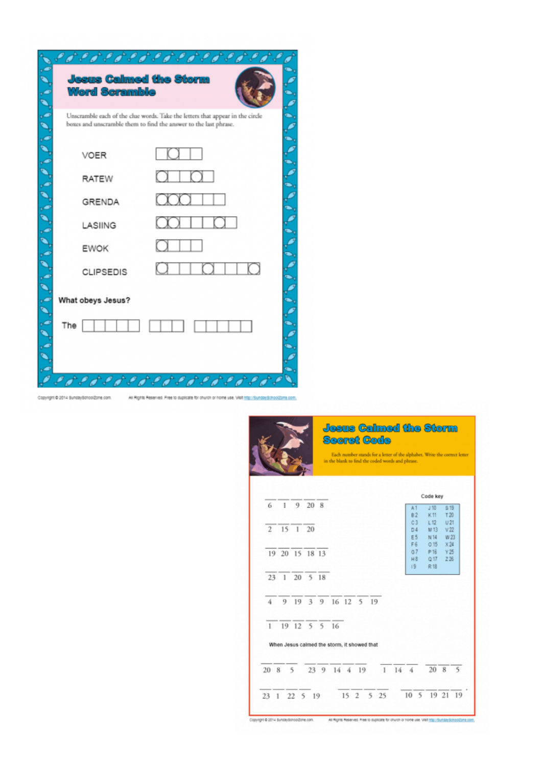|                           | よさ テア テア テア テア テア・コ                                                                                                                               |  |
|---------------------------|---------------------------------------------------------------------------------------------------------------------------------------------------|--|
|                           | <b>Jeeus Calmed the Storm</b><br><b>Word Scramble</b>                                                                                             |  |
| 0, 0, 0, 0, 0, 0, 0, 0, 0 | Unscramble each of the clue words. Take the letters that appear in the circle<br>boxes and unscramble them to find the answer to the last phrase. |  |
|                           | VOER                                                                                                                                              |  |
|                           | <b>RATEW</b>                                                                                                                                      |  |
|                           | 000 -<br>GRENDA                                                                                                                                   |  |
|                           | LASIING                                                                                                                                           |  |
|                           | <b>EWOK</b>                                                                                                                                       |  |
|                           | <b>CLIPSEDIS</b>                                                                                                                                  |  |
| سم کا م کا م              | What obeys Jesus?                                                                                                                                 |  |
|                           | The                                                                                                                                               |  |
|                           |                                                                                                                                                   |  |
|                           | Copyright @ 2014 SundaySchoolZone.com.<br>At Rights Reserved. Pree to duplicate for church or home use. Visit http://bundayBchoolZor              |  |

|                |  |    |                |        |  |                                             |  |  |  |  |  | Code key                    |  |                         |                        |
|----------------|--|----|----------------|--------|--|---------------------------------------------|--|--|--|--|--|-----------------------------|--|-------------------------|------------------------|
| 6              |  | 1  |                | 9 20 8 |  |                                             |  |  |  |  |  | A1                          |  | J <sub>10</sub>         | \$19                   |
|                |  |    |                |        |  |                                             |  |  |  |  |  | <b>B2</b><br>C <sub>3</sub> |  | K11<br>L12              | T20<br>U <sub>21</sub> |
| $\mathfrak{D}$ |  |    | 15 1 20        |        |  |                                             |  |  |  |  |  | D4                          |  | M 13                    | V <sub>22</sub>        |
|                |  |    |                |        |  |                                             |  |  |  |  |  | E 5<br>F6                   |  | N 14<br>015             | W 23<br>X24            |
|                |  |    | 19 20 15 18 13 |        |  |                                             |  |  |  |  |  | 67                          |  | P 16                    | Y25                    |
|                |  |    |                |        |  |                                             |  |  |  |  |  | H8<br>19                    |  | Q <sub>17</sub><br>R 18 | 226                    |
|                |  |    | 23 1 20 5 18   |        |  |                                             |  |  |  |  |  |                             |  |                         |                        |
| 4              |  | 9. |                |        |  | 19 3 9 16 12 5 19                           |  |  |  |  |  |                             |  |                         |                        |
| $\mathbf{1}$   |  |    |                |        |  | $19$ 12 5 5 16                              |  |  |  |  |  |                             |  |                         |                        |
|                |  |    |                |        |  | When Jesus calmed the storm, it showed that |  |  |  |  |  |                             |  |                         |                        |
|                |  |    | 20 8 5         |        |  | 23 9 14 4 19                                |  |  |  |  |  | $1 \t14 \t4$                |  |                         | 20 8 5                 |